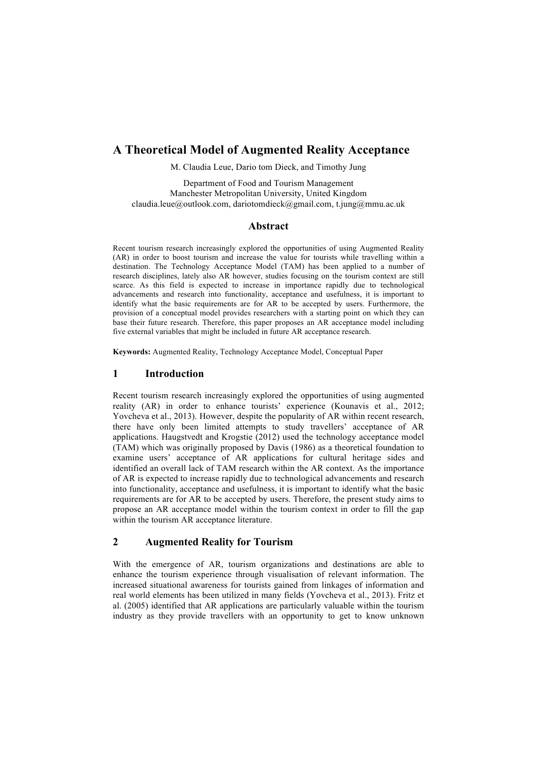# **A Theoretical Model of Augmented Reality Acceptance**

M. Claudia Leue, Dario tom Dieck, and Timothy Jung

Department of Food and Tourism Management Manchester Metropolitan University, United Kingdom claudia.leue@outlook.com, dariotomdieck@gmail.com, t.jung@mmu.ac.uk

#### **Abstract**

Recent tourism research increasingly explored the opportunities of using Augmented Reality (AR) in order to boost tourism and increase the value for tourists while travelling within a destination. The Technology Acceptance Model (TAM) has been applied to a number of research disciplines, lately also AR however, studies focusing on the tourism context are still scarce. As this field is expected to increase in importance rapidly due to technological advancements and research into functionality, acceptance and usefulness, it is important to identify what the basic requirements are for AR to be accepted by users. Furthermore, the provision of a conceptual model provides researchers with a starting point on which they can base their future research. Therefore, this paper proposes an AR acceptance model including five external variables that might be included in future AR acceptance research.

**Keywords:** Augmented Reality, Technology Acceptance Model, Conceptual Paper

### **1 Introduction**

Recent tourism research increasingly explored the opportunities of using augmented reality (AR) in order to enhance tourists' experience (Kounavis et al., 2012; Yovcheva et al., 2013). However, despite the popularity of AR within recent research, there have only been limited attempts to study travellers' acceptance of AR applications. Haugstvedt and Krogstie (2012) used the technology acceptance model (TAM) which was originally proposed by Davis (1986) as a theoretical foundation to examine users' acceptance of AR applications for cultural heritage sides and identified an overall lack of TAM research within the AR context. As the importance of AR is expected to increase rapidly due to technological advancements and research into functionality, acceptance and usefulness, it is important to identify what the basic requirements are for AR to be accepted by users. Therefore, the present study aims to propose an AR acceptance model within the tourism context in order to fill the gap within the tourism AR acceptance literature.

## **2 Augmented Reality for Tourism**

With the emergence of AR, tourism organizations and destinations are able to enhance the tourism experience through visualisation of relevant information. The increased situational awareness for tourists gained from linkages of information and real world elements has been utilized in many fields (Yovcheva et al., 2013). Fritz et al. (2005) identified that AR applications are particularly valuable within the tourism industry as they provide travellers with an opportunity to get to know unknown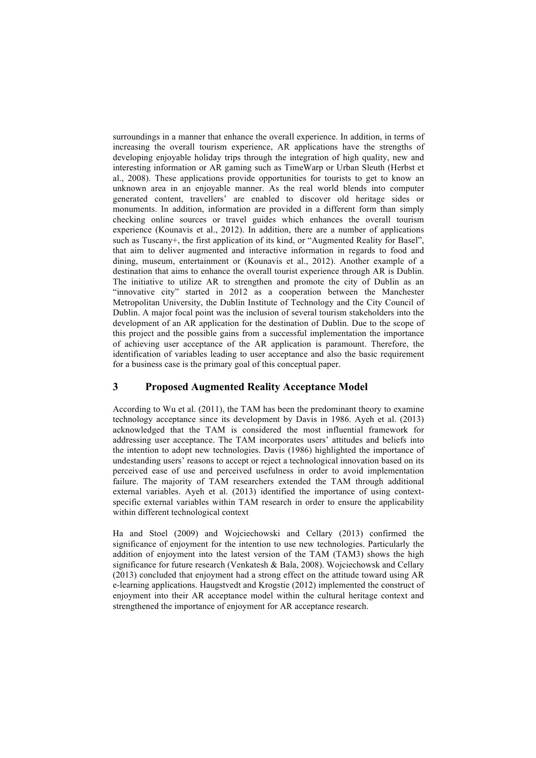surroundings in a manner that enhance the overall experience. In addition, in terms of increasing the overall tourism experience, AR applications have the strengths of developing enjoyable holiday trips through the integration of high quality, new and interesting information or AR gaming such as TimeWarp or Urban Sleuth (Herbst et al., 2008). These applications provide opportunities for tourists to get to know an unknown area in an enjoyable manner. As the real world blends into computer generated content, travellers' are enabled to discover old heritage sides or monuments. In addition, information are provided in a different form than simply checking online sources or travel guides which enhances the overall tourism experience (Kounavis et al., 2012). In addition, there are a number of applications such as Tuscany+, the first application of its kind, or "Augmented Reality for Basel", that aim to deliver augmented and interactive information in regards to food and dining, museum, entertainment or (Kounavis et al., 2012). Another example of a destination that aims to enhance the overall tourist experience through AR is Dublin. The initiative to utilize AR to strengthen and promote the city of Dublin as an "innovative city" started in 2012 as a cooperation between the Manchester Metropolitan University, the Dublin Institute of Technology and the City Council of Dublin. A major focal point was the inclusion of several tourism stakeholders into the development of an AR application for the destination of Dublin. Due to the scope of this project and the possible gains from a successful implementation the importance of achieving user acceptance of the AR application is paramount. Therefore, the identification of variables leading to user acceptance and also the basic requirement for a business case is the primary goal of this conceptual paper.

## **3 Proposed Augmented Reality Acceptance Model**

According to Wu et al. (2011), the TAM has been the predominant theory to examine technology acceptance since its development by Davis in 1986. Ayeh et al. (2013) acknowledged that the TAM is considered the most influential framework for addressing user acceptance. The TAM incorporates users' attitudes and beliefs into the intention to adopt new technologies. Davis (1986) highlighted the importance of undestanding users' reasons to accept or reject a technological innovation based on its perceived ease of use and perceived usefulness in order to avoid implementation failure. The majority of TAM researchers extended the TAM through additional external variables. Ayeh et al. (2013) identified the importance of using contextspecific external variables within TAM research in order to ensure the applicability within different technological context

Ha and Stoel (2009) and Wojciechowski and Cellary (2013) confirmed the significance of enjoyment for the intention to use new technologies. Particularly the addition of enjoyment into the latest version of the TAM (TAM3) shows the high significance for future research (Venkatesh & Bala, 2008). Wojciechowsk and Cellary (2013) concluded that enjoyment had a strong effect on the attitude toward using AR e-learning applications. Haugstvedt and Krogstie (2012) implemented the construct of enjoyment into their AR acceptance model within the cultural heritage context and strengthened the importance of enjoyment for AR acceptance research.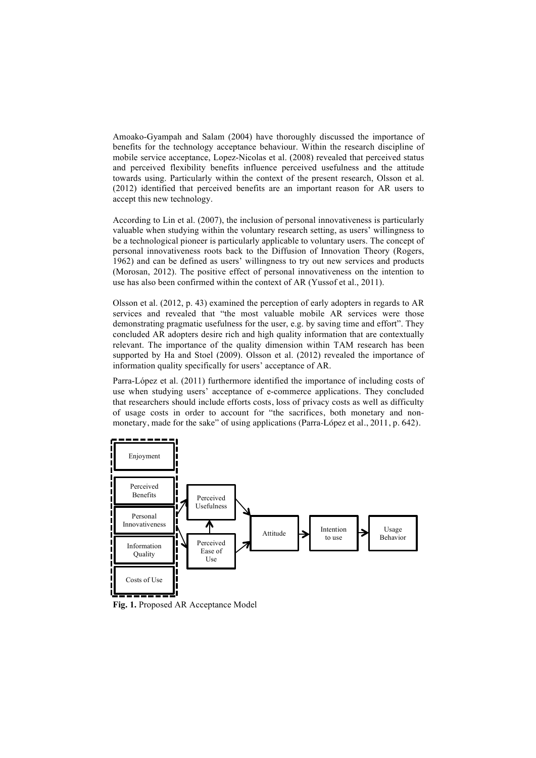Amoako-Gyampah and Salam (2004) have thoroughly discussed the importance of benefits for the technology acceptance behaviour. Within the research discipline of mobile service acceptance, Lopez-Nicolas et al. (2008) revealed that perceived status and perceived flexibility benefits influence perceived usefulness and the attitude towards using. Particularly within the context of the present research, Olsson et al. (2012) identified that perceived benefits are an important reason for AR users to accept this new technology.

According to Lin et al. (2007), the inclusion of personal innovativeness is particularly valuable when studying within the voluntary research setting, as users' willingness to be a technological pioneer is particularly applicable to voluntary users. The concept of personal innovativeness roots back to the Diffusion of Innovation Theory (Rogers, 1962) and can be defined as users' willingness to try out new services and products (Morosan, 2012). The positive effect of personal innovativeness on the intention to use has also been confirmed within the context of AR (Yussof et al., 2011).

Olsson et al. (2012, p. 43) examined the perception of early adopters in regards to AR services and revealed that "the most valuable mobile AR services were those demonstrating pragmatic usefulness for the user, e.g. by saving time and effort". They concluded AR adopters desire rich and high quality information that are contextually relevant. The importance of the quality dimension within TAM research has been supported by Ha and Stoel (2009). Olsson et al. (2012) revealed the importance of information quality specifically for users' acceptance of AR.

Parra-López et al. (2011) furthermore identified the importance of including costs of use when studying users' acceptance of e-commerce applications. They concluded that researchers should include efforts costs, loss of privacy costs as well as difficulty of usage costs in order to account for "the sacrifices, both monetary and nonmonetary, made for the sake" of using applications (Parra-López et al., 2011, p. 642).



**Fig. 1.** Proposed AR Acceptance Model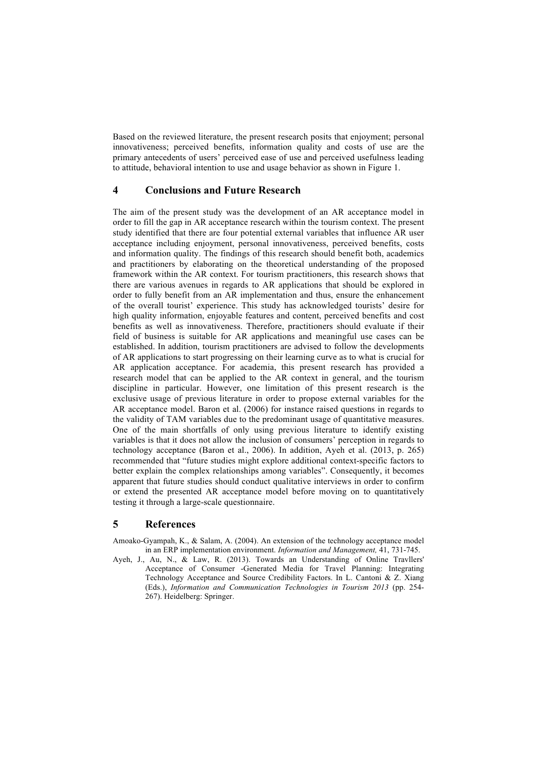Based on the reviewed literature, the present research posits that enjoyment; personal innovativeness; perceived benefits, information quality and costs of use are the primary antecedents of users' perceived ease of use and perceived usefulness leading to attitude, behavioral intention to use and usage behavior as shown in Figure 1.

### **4 Conclusions and Future Research**

The aim of the present study was the development of an AR acceptance model in order to fill the gap in AR acceptance research within the tourism context. The present study identified that there are four potential external variables that influence AR user acceptance including enjoyment, personal innovativeness, perceived benefits, costs and information quality. The findings of this research should benefit both, academics and practitioners by elaborating on the theoretical understanding of the proposed framework within the AR context. For tourism practitioners, this research shows that there are various avenues in regards to AR applications that should be explored in order to fully benefit from an AR implementation and thus, ensure the enhancement of the overall tourist' experience. This study has acknowledged tourists' desire for high quality information, enjoyable features and content, perceived benefits and cost benefits as well as innovativeness. Therefore, practitioners should evaluate if their field of business is suitable for AR applications and meaningful use cases can be established. In addition, tourism practitioners are advised to follow the developments of AR applications to start progressing on their learning curve as to what is crucial for AR application acceptance. For academia, this present research has provided a research model that can be applied to the AR context in general, and the tourism discipline in particular. However, one limitation of this present research is the exclusive usage of previous literature in order to propose external variables for the AR acceptance model. Baron et al. (2006) for instance raised questions in regards to the validity of TAM variables due to the predominant usage of quantitative measures. One of the main shortfalls of only using previous literature to identify existing variables is that it does not allow the inclusion of consumers' perception in regards to technology acceptance (Baron et al., 2006). In addition, Ayeh et al. (2013, p. 265) recommended that "future studies might explore additional context-specific factors to better explain the complex relationships among variables". Consequently, it becomes apparent that future studies should conduct qualitative interviews in order to confirm or extend the presented AR acceptance model before moving on to quantitatively testing it through a large-scale questionnaire.

## **5 References**

- Amoako-Gyampah, K., & Salam, A. (2004). An extension of the technology acceptance model in an ERP implementation environment. *Information and Management,* 41, 731-745.
- Ayeh, J., Au, N., & Law, R. (2013). Towards an Understanding of Online Travllers' Acceptance of Consumer -Generated Media for Travel Planning: Integrating Technology Acceptance and Source Credibility Factors. In L. Cantoni & Z. Xiang (Eds.), *Information and Communication Technologies in Tourism 2013* (pp. 254- 267). Heidelberg: Springer.